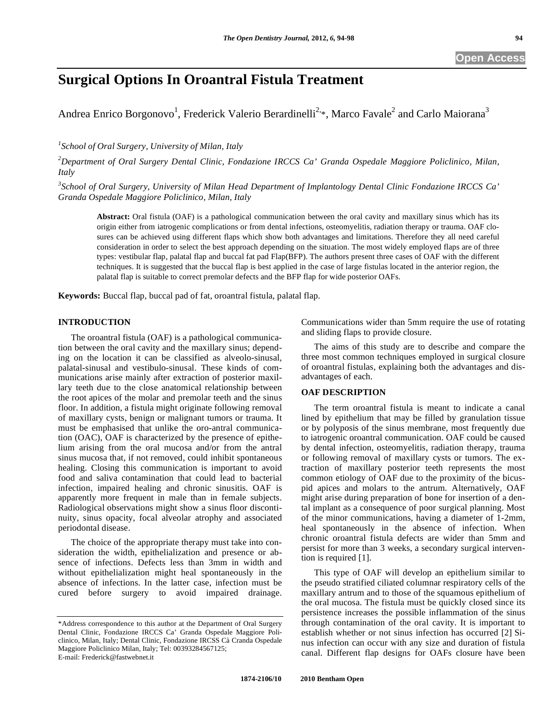# **Surgical Options In Oroantral Fistula Treatment**

Andrea Enrico Borgonovo<sup>1</sup>, Frederick Valerio Berardinelli<sup>2,\*</sup>, Marco Favale<sup>2</sup> and Carlo Maiorana<sup>3</sup>

*1 School of Oral Surgery, University of Milan, Italy* 

*2 Department of Oral Surgery Dental Clinic, Fondazione IRCCS Ca' Granda Ospedale Maggiore Policlinico, Milan, Italy* 

*3 School of Oral Surgery, University of Milan Head Department of Implantology Dental Clinic Fondazione IRCCS Ca' Granda Ospedale Maggiore Policlinico, Milan, Italy* 

**Abstract:** Oral fistula (OAF) is a pathological communication between the oral cavity and maxillary sinus which has its origin either from iatrogenic complications or from dental infections, osteomyelitis, radiation therapy or trauma. OAF closures can be achieved using different flaps which show both advantages and limitations. Therefore they all need careful consideration in order to select the best approach depending on the situation. The most widely employed flaps are of three types: vestibular flap, palatal flap and buccal fat pad Flap(BFP). The authors present three cases of OAF with the different techniques. It is suggested that the buccal flap is best applied in the case of large fistulas located in the anterior region, the palatal flap is suitable to correct premolar defects and the BFP flap for wide posterior OAFs.

**Keywords:** Buccal flap, buccal pad of fat, oroantral fistula, palatal flap.

# **INTRODUCTION**

The oroantral fistula (OAF) is a pathological communication between the oral cavity and the maxillary sinus; depending on the location it can be classified as alveolo-sinusal, palatal-sinusal and vestibulo-sinusal. These kinds of communications arise mainly after extraction of posterior maxillary teeth due to the close anatomical relationship between the root apices of the molar and premolar teeth and the sinus floor. In addition, a fistula might originate following removal of maxillary cysts, benign or malignant tumors or trauma. It must be emphasised that unlike the oro-antral communication (OAC), OAF is characterized by the presence of epithelium arising from the oral mucosa and/or from the antral sinus mucosa that, if not removed, could inhibit spontaneous healing. Closing this communication is important to avoid food and saliva contamination that could lead to bacterial infection, impaired healing and chronic sinusitis. OAF is apparently more frequent in male than in female subjects. Radiological observations might show a sinus floor discontinuity, sinus opacity, focal alveolar atrophy and associated periodontal disease.

The choice of the appropriate therapy must take into consideration the width, epithelialization and presence or absence of infections. Defects less than 3mm in width and without epithelialization might heal spontaneously in the absence of infections. In the latter case, infection must be cured before surgery to avoid impaired drainage.

Communications wider than 5mm require the use of rotating and sliding flaps to provide closure.

The aims of this study are to describe and compare the three most common techniques employed in surgical closure of oroantral fistulas, explaining both the advantages and disadvantages of each.

# **OAF DESCRIPTION**

The term oroantral fistula is meant to indicate a canal lined by epithelium that may be filled by granulation tissue or by polyposis of the sinus membrane, most frequently due to iatrogenic oroantral communication. OAF could be caused by dental infection, osteomyelitis, radiation therapy, trauma or following removal of maxillary cysts or tumors. The extraction of maxillary posterior teeth represents the most common etiology of OAF due to the proximity of the bicuspid apices and molars to the antrum. Alternatively, OAF might arise during preparation of bone for insertion of a dental implant as a consequence of poor surgical planning. Most of the minor communications, having a diameter of 1-2mm, heal spontaneously in the absence of infection. When chronic oroantral fistula defects are wider than 5mm and persist for more than 3 weeks, a secondary surgical intervention is required [1].

This type of OAF will develop an epithelium similar to the pseudo stratified ciliated columnar respiratory cells of the maxillary antrum and to those of the squamous epithelium of the oral mucosa. The fistula must be quickly closed since its persistence increases the possible inflammation of the sinus through contamination of the oral cavity. It is important to establish whether or not sinus infection has occurred [2] Sinus infection can occur with any size and duration of fistula canal. Different flap designs for OAFs closure have been

<sup>\*</sup>Address correspondence to this author at the Department of Oral Surgery Dental Clinic, Fondazione IRCCS Ca' Granda Ospedale Maggiore Policlinico, Milan, Italy; Dental Clinic, Fondazione IRCSS Cà Cranda Ospedale Maggiore Policlinico Milan, Italy; Tel: 00393284567125; E-mail: Frederick@fastwebnet.it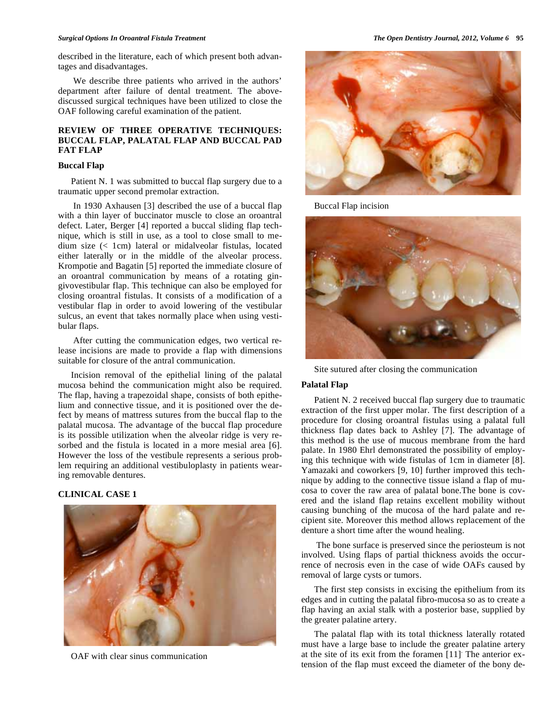#### *Surgical Options In Oroantral Fistula Treatment The Open Dentistry Journal, 2012, Volume 6* **95**

described in the literature, each of which present both advantages and disadvantages.

 We describe three patients who arrived in the authors' department after failure of dental treatment. The abovediscussed surgical techniques have been utilized to close the OAF following careful examination of the patient.

# **REVIEW OF THREE OPERATIVE TECHNIQUES: BUCCAL FLAP, PALATAL FLAP AND BUCCAL PAD FAT FLAP**

## **Buccal Flap**

Patient N. 1 was submitted to buccal flap surgery due to a traumatic upper second premolar extraction.

 In 1930 Axhausen [3] described the use of a buccal flap with a thin layer of buccinator muscle to close an oroantral defect. Later, Berger [4] reported a buccal sliding flap technique, which is still in use, as a tool to close small to medium size (< 1cm) lateral or midalveolar fistulas, located either laterally or in the middle of the alveolar process. Krompotie and Bagatin [5] reported the immediate closure of an oroantral communication by means of a rotating gingivovestibular flap. This technique can also be employed for closing oroantral fistulas. It consists of a modification of a vestibular flap in order to avoid lowering of the vestibular sulcus, an event that takes normally place when using vestibular flaps.

 After cutting the communication edges, two vertical release incisions are made to provide a flap with dimensions suitable for closure of the antral communication.

Incision removal of the epithelial lining of the palatal mucosa behind the communication might also be required. The flap, having a trapezoidal shape, consists of both epithelium and connective tissue, and it is positioned over the defect by means of mattress sutures from the buccal flap to the palatal mucosa. The advantage of the buccal flap procedure is its possible utilization when the alveolar ridge is very resorbed and the fistula is located in a more mesial area [6]. However the loss of the vestibule represents a serious problem requiring an additional vestibuloplasty in patients wearing removable dentures.

## **CLINICAL CASE 1**



OAF with clear sinus communication



Buccal Flap incision



Site sutured after closing the communication

## **Palatal Flap**

Patient N. 2 received buccal flap surgery due to traumatic extraction of the first upper molar. The first description of a procedure for closing oroantral fistulas using a palatal full thickness flap dates back to Ashley [7]. The advantage of this method is the use of mucous membrane from the hard palate. In 1980 Ehrl demonstrated the possibility of employing this technique with wide fistulas of 1cm in diameter [8]. Yamazaki and coworkers [9, 10] further improved this technique by adding to the connective tissue island a flap of mucosa to cover the raw area of palatal bone.The bone is covered and the island flap retains excellent mobility without causing bunching of the mucosa of the hard palate and recipient site. Moreover this method allows replacement of the denture a short time after the wound healing.

 The bone surface is preserved since the periosteum is not involved. Using flaps of partial thickness avoids the occurrence of necrosis even in the case of wide OAFs caused by removal of large cysts or tumors.

The first step consists in excising the epithelium from its edges and in cutting the palatal fibro-mucosa so as to create a flap having an axial stalk with a posterior base, supplied by the greater palatine artery.

The palatal flap with its total thickness laterally rotated must have a large base to include the greater palatine artery at the site of its exit from the foramen [11]. The anterior extension of the flap must exceed the diameter of the bony de-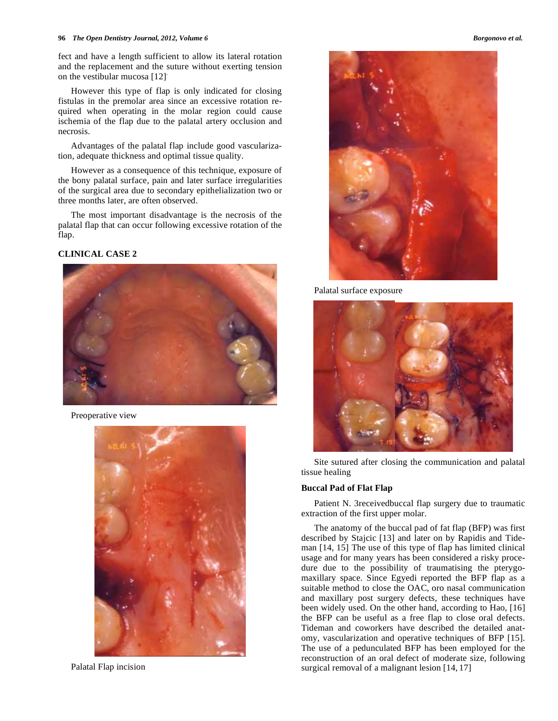#### **96** *Phence Dentistry Journal, 2012, Volume 6* **Borgonovo et al. Borgonovo et al. Borgonovo et al.**

fect and have a length sufficient to allow its lateral rotation and the replacement and the suture without exerting tension on the vestibular mucosa [12].

However this type of flap is only indicated for closing fistulas in the premolar area since an excessive rotation required when operating in the molar region could cause ischemia of the flap due to the palatal artery occlusion and necrosis.

Advantages of the palatal flap include good vascularization, adequate thickness and optimal tissue quality.

However as a consequence of this technique, exposure of the bony palatal surface, pain and later surface irregularities of the surgical area due to secondary epithelialization two or three months later, are often observed.

The most important disadvantage is the necrosis of the palatal flap that can occur following excessive rotation of the flap.

## **CLINICAL CASE 2**



Preoperative view



Palatal Flap incision





Palatal surface exposure



Site sutured after closing the communication and palatal tissue healing

## **Buccal Pad of Flat Flap**

Patient N. 3receivedbuccal flap surgery due to traumatic extraction of the first upper molar.

The anatomy of the buccal pad of fat flap (BFP) was first described by Stajcic [13] and later on by Rapidis and Tideman [14, 15] The use of this type of flap has limited clinical usage and for many years has been considered a risky procedure due to the possibility of traumatising the pterygomaxillary space. Since Egyedi reported the BFP flap as a suitable method to close the OAC, oro nasal communication and maxillary post surgery defects, these techniques have been widely used. On the other hand, according to Hao, [16] the BFP can be useful as a free flap to close oral defects. Tideman and coworkers have described the detailed anatomy, vascularization and operative techniques of BFP [15]. The use of a pedunculated BFP has been employed for the reconstruction of an oral defect of moderate size, following surgical removal of a malignant lesion [14, 17]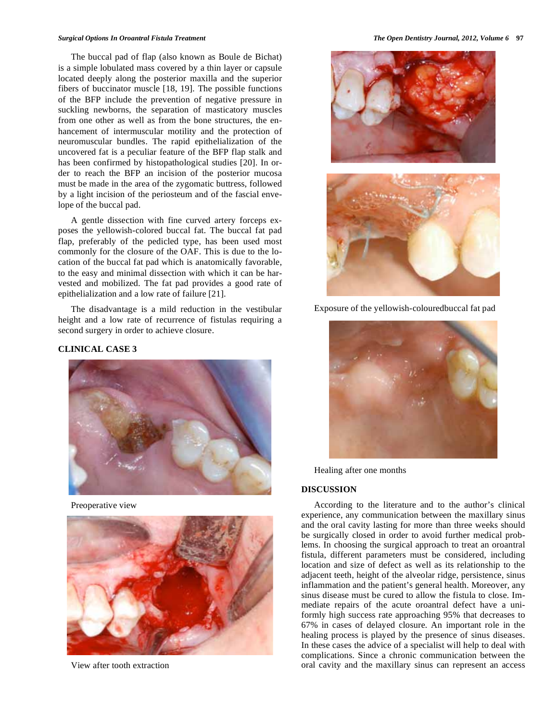#### *Surgical Options In Oroantral Fistula Treatment The Open Dentistry Journal, 2012, Volume 6* **97**

The buccal pad of flap (also known as Boule de Bichat) is a simple lobulated mass covered by a thin layer or capsule located deeply along the posterior maxilla and the superior fibers of buccinator muscle [18, 19]. The possible functions of the BFP include the prevention of negative pressure in suckling newborns, the separation of masticatory muscles from one other as well as from the bone structures, the enhancement of intermuscular motility and the protection of neuromuscular bundles. The rapid epithelialization of the uncovered fat is a peculiar feature of the BFP flap stalk and has been confirmed by histopathological studies [20]. In order to reach the BFP an incision of the posterior mucosa must be made in the area of the zygomatic buttress, followed by a light incision of the periosteum and of the fascial envelope of the buccal pad.

A gentle dissection with fine curved artery forceps exposes the yellowish-colored buccal fat. The buccal fat pad flap, preferably of the pedicled type, has been used most commonly for the closure of the OAF. This is due to the location of the buccal fat pad which is anatomically favorable, to the easy and minimal dissection with which it can be harvested and mobilized. The fat pad provides a good rate of epithelialization and a low rate of failure [21].

The disadvantage is a mild reduction in the vestibular height and a low rate of recurrence of fistulas requiring a second surgery in order to achieve closure.

### **CLINICAL CASE 3**



Preoperative view



View after tooth extraction





Exposure of the yellowish-colouredbuccal fat pad



Healing after one months

#### **DISCUSSION**

According to the literature and to the author's clinical experience, any communication between the maxillary sinus and the oral cavity lasting for more than three weeks should be surgically closed in order to avoid further medical problems. In choosing the surgical approach to treat an oroantral fistula, different parameters must be considered, including location and size of defect as well as its relationship to the adjacent teeth, height of the alveolar ridge, persistence, sinus inflammation and the patient's general health. Moreover, any sinus disease must be cured to allow the fistula to close. Immediate repairs of the acute oroantral defect have a uniformly high success rate approaching 95% that decreases to 67% in cases of delayed closure. An important role in the healing process is played by the presence of sinus diseases. In these cases the advice of a specialist will help to deal with complications. Since a chronic communication between the oral cavity and the maxillary sinus can represent an access